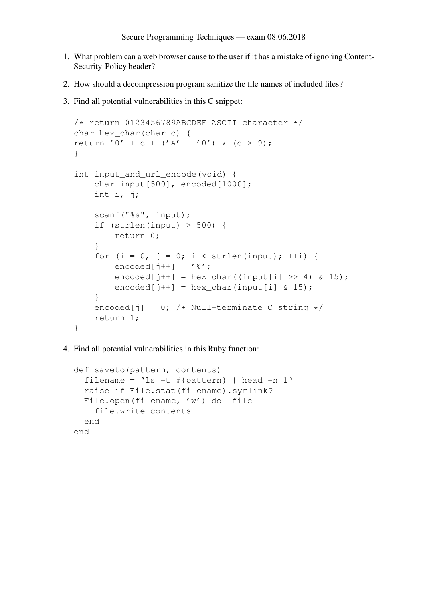- 1. What problem can a web browser cause to the user if it has a mistake of ignoring Content-Security-Policy header?
- 2. How should a decompression program sanitize the file names of included files?
- 3. Find all potential vulnerabilities in this C snippet:

```
/* return 0123456789ABCDEF ASCII character */
char hex_char(char c) {
return '0' + c + ('A' - '0') * (c > 9);
}
int input_and_url_encode(void) {
    char input[500], encoded[1000];
    int i, j;
    scanf("%s", input);
    if (strlen(input) > 500) {
        return 0;
    }
    for (i = 0, j = 0; i < strlen(input); +i) {
        \text{encoded}[\text{i++}] = \text{'\%'};encoded[j++] = hex char((input[i] >> 4) & 15);
        encoded[j++] = hex\_char(input[i] & 15);}
    encoded[j] = 0; /* Null-terminate C string */
    return 1;
}
```
4. Find all potential vulnerabilities in this Ruby function:

```
def saveto(pattern, contents)
  filename = \text{ls} -t #{pattern} | head -n 1'
  raise if File.stat(filename).symlink?
  File.open(filename, 'w') do |file|
    file.write contents
  end
end
```